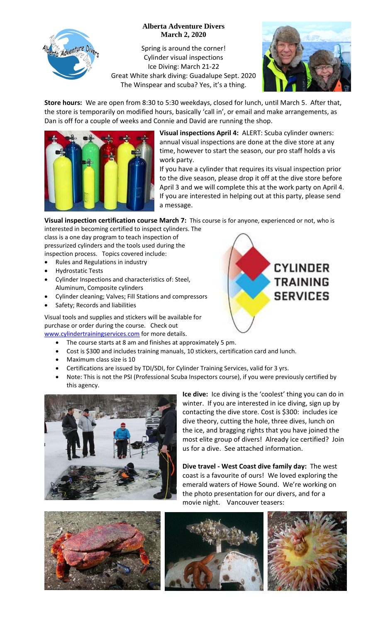

## **Alberta Adventure Divers March 2, 2020**

Spring is around the corner! Cylinder visual inspections Ice Diving: March 21-22 Great White shark diving: Guadalupe Sept. 2020 The Winspear and scuba? Yes, it's a thing.



**CYLINDER** 

**TRAINING** 

**SERVICES** 

**Store hours:** We are open from 8:30 to 5:30 weekdays, closed for lunch, until March 5. After that, the store is temporarily on modified hours, basically 'call in', or email and make arrangements, as Dan is off for a couple of weeks and Connie and David are running the shop.



**Visual inspections April 4:** ALERT: Scuba cylinder owners: annual visual inspections are done at the dive store at any time, however to start the season, our pro staff holds a vis work party.

If you have a cylinder that requires its visual inspection prior to the dive season, please drop it off at the dive store before April 3 and we will complete this at the work party on April 4. If you are interested in helping out at this party, please send a message.

**Visual inspection certification course March 7:** This course is for anyone, experienced or not, who is interested in becoming certified to inspect cylinders. The

class is a one day program to teach inspection of pressurized cylinders and the tools used during the inspection process. Topics covered include:

- Rules and Regulations in industry
- Hydrostatic Tests
- Cylinder Inspections and characteristics of: Steel, Aluminum, Composite cylinders
- Cylinder cleaning; Valves; Fill Stations and compressors
- Safety; Records and liabilities

Visual tools and supplies and stickers will be available for purchase or order during the course. Check out [www.cylindertrainingservices.com](http://www.cylindertrainingservices.com/) for more details.

- The course starts at 8 am and finishes at approximately 5 pm.
- Cost is \$300 and includes training manuals, 10 stickers, certification card and lunch.
- Maximum class size is 10
- Certifications are issued by TDI/SDI, for Cylinder Training Services, valid for 3 yrs.
- Note: This is not the PSI (Professional Scuba Inspectors course), if you were previously certified by this agency.



**Ice dive:** Ice diving is the 'coolest' thing you can do in winter. If you are interested in ice diving, sign up by contacting the dive store. Cost is \$300: includes ice dive theory, cutting the hole, three dives, lunch on the ice, and bragging rights that you have joined the most elite group of divers! Already ice certified? Join us for a dive. See attached information.

**Dive travel - West Coast dive family day:** The west coast is a favourite of ours! We loved exploring the emerald waters of Howe Sound. We're working on the photo presentation for our divers, and for a movie night. Vancouver teasers: